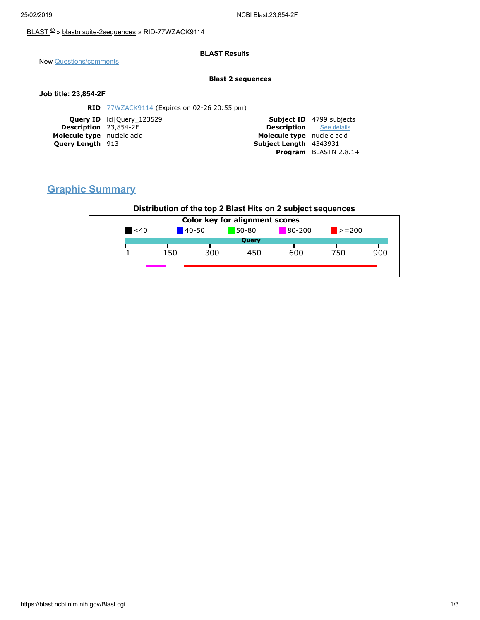### [BLAST](https://blast.ncbi.nlm.nih.gov/Blast.cgi) ® » blastn [suite-2sequences](https://blast.ncbi.nlm.nih.gov/Blast.cgi?PAGE=MegaBlast&PROGRAM=blastn&PAGE_TYPE=BlastSearch&BLAST_SPEC=blast2seq) » RID-77WZACK9114

### **BLAST Results**

New [Questions/comments](https://support.nlm.nih.gov/knowledgebase/category/?id=CAT-01239)

#### **Blast 2 sequences**

#### **Job title: 23,854-2F**

| <b>Subject ID</b> 4799 subjects |
|---------------------------------|
| <b>Description</b> See details  |
| Molecule type nucleic acid      |
| Subject Length 4343931          |
| <b>Program</b> BLASTN $2.8.1+$  |
|                                 |

# **Graphic Summary**

## **Distribution of the top 2 Blast Hits on 2 subject sequences**

| $\leq 40$ |     |            |           |            |             |     |
|-----------|-----|------------|-----------|------------|-------------|-----|
|           |     | $140 - 50$ | $50 - 80$ | $80 - 200$ | $\ge$ = 200 |     |
|           |     |            | Query     |            |             |     |
|           | 150 | 300        | 450       | 600        | 750         | 900 |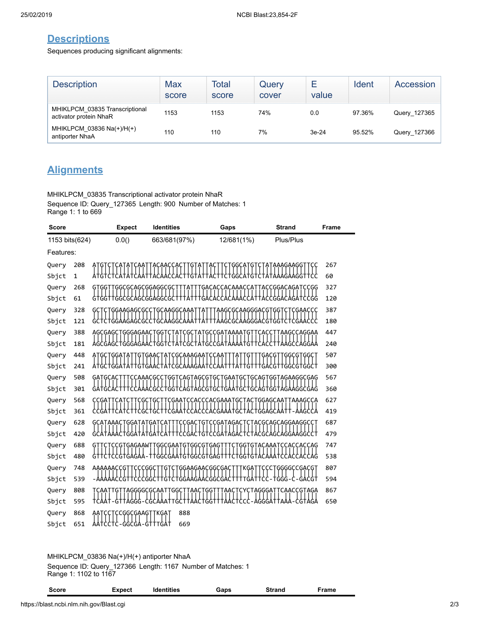## **Descriptions**

Sequences producing significant alignments:

| <b>Description</b>                                       | Max<br>score | Total<br>score | Query<br>cover | value   | Ident  | Accession    |
|----------------------------------------------------------|--------------|----------------|----------------|---------|--------|--------------|
| MHIKLPCM 03835 Transcriptional<br>activator protein NhaR | 1153         | 1153           | 74%            | 0.0     | 97.36% | Query_127365 |
| MHIKLPCM 03836 Na(+)/H(+)<br>antiporter NhaA             | 110          | 110            | 7%             | $3e-24$ | 95.52% | Query_127366 |

# **Alignments**

MHIKLPCM\_03835 Transcriptional activator protein NhaR Sequence ID: Query\_127365 Length: 900 Number of Matches: 1 Range 1: 1 to 669

| Score                   | <b>Identities</b><br><b>Expect</b> |                                 |                          | Gaps                                            | <b>Strand</b>                       | <b>Frame</b> |
|-------------------------|------------------------------------|---------------------------------|--------------------------|-------------------------------------------------|-------------------------------------|--------------|
| 0.0()<br>1153 bits(624) |                                    | 663/681(97%)                    | 12/681(1%)               | Plus/Plus                                       |                                     |              |
| Features:               |                                    |                                 |                          |                                                 |                                     |              |
| Query                   | 208                                |                                 |                          |                                                 | AAAGAAGG                            | 267          |
| Sbjct                   | $\mathbf 1$                        |                                 |                          |                                                 | TATAAAGAAGGT                        | 60           |
| Query                   | 268                                | GGCGCAGCGGAGGCG                 |                          |                                                 | ACCGGACAGAT<br>CCGG <sup>.</sup>    | 327          |
| Sbjct                   | 61                                 | GTGGTTGGCGCAGCGGAGGCGC          |                          |                                                 | CGGACAGATCCGG                       | 120          |
| Query                   | 328                                | GCT                             | TGGAAGAGCGCCTGCAAGGCAAAT | ΆT                                              | AAGCGCAAGGGACGTGGTCTCGAACCC         | 387          |
| Sbjct                   | 121                                | :†C†GGAAGAGCGCC†GCAAGGCAAA      |                          | ·ႵႿႯᢡႽႽႽႿႯႽჇჇႯႽႽႵႽႽႵႽ                           |                                     | 180          |
| Query                   | 388                                | GGGAGAAC<br>AGCGAGCT            | GG 1<br>Ą                | GCCGATAAAAT<br>Ģ<br>GC<br>$A^1$                 | AAGCCAGGAA                          | 447          |
| Sbjct                   | 181                                | AGCGAGCTGGGAGAA                 | GG 1                     | GΑ<br>TATGC<br>GC                               |                                     | 240          |
| Query                   | 448                                | GGAT<br>٢Ģ.                     | GAAC<br>ΑI               | CGCAAAGAAT                                      | <b>GGCGT</b><br>GACG<br>GGC         | 507          |
| Sbjct                   | 241                                | AtGCTGGATAT                     | TGTGAAC                  |                                                 | GACGTTGGCGTGGCT                     | 300          |
| Query                   | 508                                | GATGCA                          | ACGCC1<br>GG T           | CAGTAGCGT<br>GC<br>GAAT<br>GC.                  | GCAGTGGTAGAAGGCGAG                  | 567          |
| Sbjct                   | 301                                |                                 | GC<br>GG T               | <b>CAGTAGCGTGCTGAATGC</b>                       | t GCAG tGG TAGAAG GCGAG             | 360          |
| Query                   | 568                                |                                 | GΑ                       | CCACCCACGAAA<br>GC                              | GGAGCAA1<br>AAAGCCA                 | 627          |
| Sbjct                   | 361                                |                                 |                          |                                                 |                                     | 419          |
| Query                   | 628<br>420                         | GCATAAACTGGATATGATCAT<br>GGATAT | GΑ                       | :CCGACTGTCCGATAGACTCTACGCAGCAGGAAGGCCT<br>CCGAT | CAGCAGGAAGGCCT                      | 687<br>479   |
| Sbjct<br>Query          | 688                                | <b>GAGAAWT</b><br>G1            | <b>GGCGAATGTGGCGT</b>    | TGT<br>GAC<br>AGA<br><b>GAG</b><br>GG           | CG<br><b>CCACCACCAG</b><br>GTACAAAT | 747          |
| Sbjct                   | 480                                |                                 |                          | GGCGAATGTGGCG I GAG<br>GG<br>G                  |                                     | 538          |
| Query                   | 748                                | AAAAAACCG                       | CGG<br>G                 | GGAAGAACGGCGAC<br>KGA1                          | <b>CCCTGGGGCCGACGT</b>              | 807          |
| Sbjct                   | 539                                | CCCGG:<br>CG                    | TGT<br>C<br>I GGAA       | GAACGGCGAC<br>GAT                               | GACGT<br>TGGG                       | 594          |
| Query                   | 808                                |                                 | AGGGGCGCAAT<br>GG        |                                                 | <b>TAGGGA</b><br>CAACCGTAGA         | 867          |
| Sbjct                   | 595                                |                                 |                          |                                                 |                                     | 650          |
| Query                   | 868                                | CCGGCGAAGT                      | 888<br>TKGAT             |                                                 |                                     |              |
| Sbjct                   | 651                                | GGCGA-GTT                       | 669<br>TGA†              |                                                 |                                     |              |

MHIKLPCM\_03836 Na(+)/H(+) antiporter NhaA

Sequence ID: Query\_127366 Length: 1167 Number of Matches: 1 Range 1: 1102 to 1167

| Score | Expect | <b>Identities</b> | Gaps | <b>Strand</b> | Frame |
|-------|--------|-------------------|------|---------------|-------|
|       |        |                   |      |               |       |